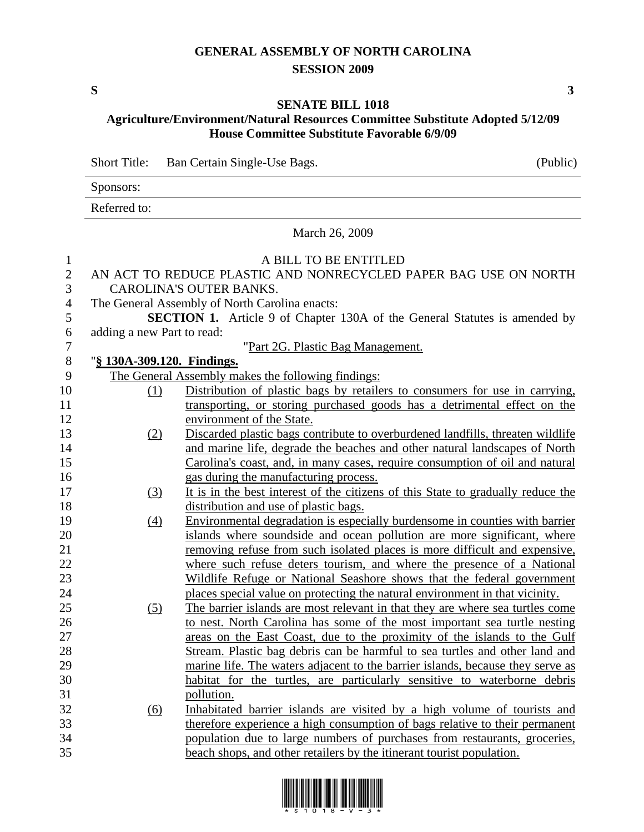## **GENERAL ASSEMBLY OF NORTH CAROLINA SESSION 2009**

## **SENATE BILL 1018 Agriculture/Environment/Natural Resources Committee Substitute Adopted 5/12/09 House Committee Substitute Favorable 6/9/09**

Short Title: Ban Certain Single-Use Bags. (Public)

Sponsors:

Referred to:

March 26, 2009

## 1 A BILL TO BE ENTITLED 2 AN ACT TO REDUCE PLASTIC AND NONRECYCLED PAPER BAG USE ON NORTH 3 CAROLINA'S OUTER BANKS. 4 The General Assembly of North Carolina enacts: 5 **SECTION 1.** Article 9 of Chapter 130A of the General Statutes is amended by 6 adding a new Part to read: 7 "Part 2G. Plastic Bag Management. 8 "**§ 130A-309.120. Findings.** 9 The General Assembly makes the following findings: 10 (1) Distribution of plastic bags by retailers to consumers for use in carrying, 11 transporting, or storing purchased goods has a detrimental effect on the 12 environment of the State. 13 (2) Discarded plastic bags contribute to overburdened landfills, threaten wildlife 14 and marine life, degrade the beaches and other natural landscapes of North 15 Carolina's coast, and, in many cases, require consumption of oil and natural 16 gas during the manufacturing process. 17 (3) It is in the best interest of the citizens of this State to gradually reduce the 18 distribution and use of plastic bags. 19 (4) Environmental degradation is especially burdensome in counties with barrier 20 islands where soundside and ocean pollution are more significant, where 21 removing refuse from such isolated places is more difficult and expensive, 22 where such refuse deters tourism, and where the presence of a National 23 Wildlife Refuge or National Seashore shows that the federal government 24 places special value on protecting the natural environment in that vicinity. 25 (5) The barrier islands are most relevant in that they are where sea turtles come 26 to nest. North Carolina has some of the most important sea turtle nesting 27 areas on the East Coast, due to the proximity of the islands to the Gulf 28 Stream. Plastic bag debris can be harmful to sea turtles and other land and 29 marine life. The waters adjacent to the barrier islands, because they serve as 30 habitat for the turtles, are particularly sensitive to waterborne debris 31 pollution. 32 (6) Inhabitated barrier islands are visited by a high volume of tourists and 33 therefore experience a high consumption of bags relative to their permanent 34 population due to large numbers of purchases from restaurants, groceries, 35 beach shops, and other retailers by the itinerant tourist population.

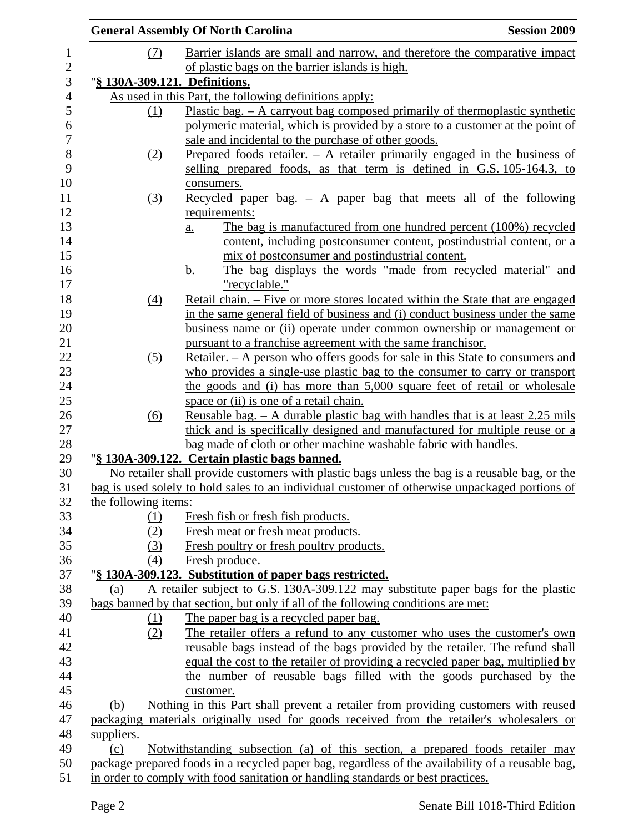|                               | <b>General Assembly Of North Carolina</b>                                                                                                                      | <b>Session 2009</b> |
|-------------------------------|----------------------------------------------------------------------------------------------------------------------------------------------------------------|---------------------|
| (7)                           | Barrier islands are small and narrow, and therefore the comparative impact                                                                                     |                     |
|                               | of plastic bags on the barrier islands is high.                                                                                                                |                     |
| "§ 130A-309.121. Definitions. |                                                                                                                                                                |                     |
|                               | As used in this Part, the following definitions apply:                                                                                                         |                     |
| <u>(1)</u>                    | Plastic bag. $-$ A carryout bag composed primarily of thermoplastic synthetic                                                                                  |                     |
|                               | polymeric material, which is provided by a store to a customer at the point of                                                                                 |                     |
|                               | sale and incidental to the purchase of other goods.                                                                                                            |                     |
| (2)                           | Prepared foods retailer. $-$ A retailer primarily engaged in the business of                                                                                   |                     |
|                               | selling prepared foods, as that term is defined in G.S. 105-164.3, to                                                                                          |                     |
|                               | consumers.                                                                                                                                                     |                     |
| (3)                           | Recycled paper bag. $-$ A paper bag that meets all of the following                                                                                            |                     |
|                               | requirements:                                                                                                                                                  |                     |
|                               | The bag is manufactured from one hundred percent (100%) recycled<br>$\underline{a}$ .                                                                          |                     |
|                               | content, including postconsumer content, postindustrial content, or a                                                                                          |                     |
|                               | mix of postconsumer and postindustrial content.                                                                                                                |                     |
|                               | The bag displays the words "made from recycled material" and<br><u>b.</u>                                                                                      |                     |
|                               | "recyclable."                                                                                                                                                  |                     |
| $\left(4\right)$              | Retail chain. – Five or more stores located within the State that are engaged<br>in the same general field of business and (i) conduct business under the same |                     |
|                               | business name or (ii) operate under common ownership or management or                                                                                          |                     |
|                               | pursuant to a franchise agreement with the same franchisor.                                                                                                    |                     |
| (5)                           | Retailer. – A person who offers goods for sale in this State to consumers and                                                                                  |                     |
|                               | who provides a single-use plastic bag to the consumer to carry or transport                                                                                    |                     |
|                               | the goods and (i) has more than 5,000 square feet of retail or wholesale                                                                                       |                     |
|                               | space or (ii) is one of a retail chain.                                                                                                                        |                     |
| (6)                           | <u>Reusable bag. – A durable plastic bag with handles that is at least 2.25 mils</u>                                                                           |                     |
|                               | thick and is specifically designed and manufactured for multiple reuse or a                                                                                    |                     |
|                               | bag made of cloth or other machine washable fabric with handles.                                                                                               |                     |
|                               | "§ 130A-309.122. Certain plastic bags banned.                                                                                                                  |                     |
|                               | No retailer shall provide customers with plastic bags unless the bag is a reusable bag, or the                                                                 |                     |
|                               | bag is used solely to hold sales to an individual customer of otherwise unpackaged portions of                                                                 |                     |
| the following items:          |                                                                                                                                                                |                     |
| <u>(1)</u>                    | Fresh fish or fresh fish products.                                                                                                                             |                     |
| (2)                           | Fresh meat or fresh meat products.                                                                                                                             |                     |
| (3)                           | Fresh poultry or fresh poultry products.                                                                                                                       |                     |
| (4)                           | Fresh produce.                                                                                                                                                 |                     |
|                               | "§ 130A-309.123. Substitution of paper bags restricted.                                                                                                        |                     |
| (a)                           | A retailer subject to G.S. 130A-309.122 may substitute paper bags for the plastic                                                                              |                     |
|                               | bags banned by that section, but only if all of the following conditions are met:                                                                              |                     |
| <u>(1)</u>                    | The paper bag is a recycled paper bag.                                                                                                                         |                     |
| (2)                           | The retailer offers a refund to any customer who uses the customer's own                                                                                       |                     |
|                               | reusable bags instead of the bags provided by the retailer. The refund shall                                                                                   |                     |
|                               | equal the cost to the retailer of providing a recycled paper bag, multiplied by<br>the number of reusable bags filled with the goods purchased by the          |                     |
|                               |                                                                                                                                                                |                     |
| (b)                           | customer.<br>Nothing in this Part shall prevent a retailer from providing customers with reused                                                                |                     |
|                               | packaging materials originally used for goods received from the retailer's wholesalers or                                                                      |                     |
| suppliers.                    |                                                                                                                                                                |                     |
| (c)                           | Notwithstanding subsection (a) of this section, a prepared foods retailer may                                                                                  |                     |
|                               | package prepared foods in a recycled paper bag, regardless of the availability of a reusable bag,                                                              |                     |
|                               | in order to comply with food sanitation or handling standards or best practices.                                                                               |                     |